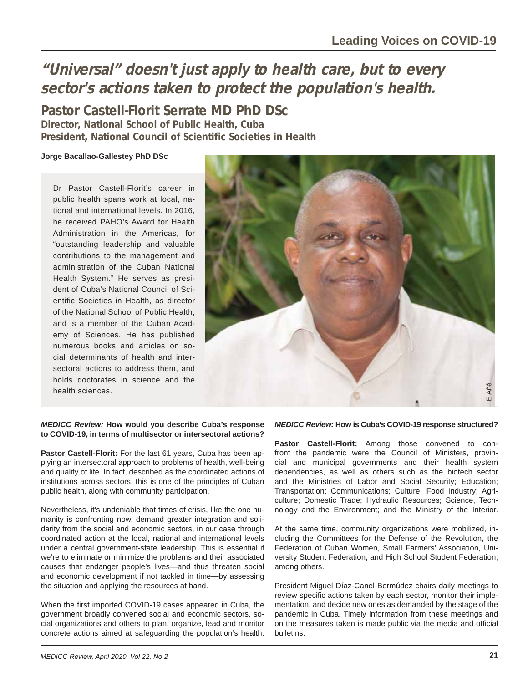# **"Universal" doesn't just apply to health care, but to every sector's actions taken to protect the population's health.**

**Pastor Castell-Florit Serrate MD PhD DSc Director, National School of Public Health, Cuba President, National Council of Scientific Societies in Health**

## **Jorge Bacallao-Gallestey PhD DSc**

Dr Pastor Castell-Florit's career in public health spans work at local, national and international levels. In 2016, he received PAHO's Award for Health Administration in the Americas, for "outstanding leadership and valuable contributions to the management and administration of the Cuban National Health System." He serves as president of Cuba's National Council of Scientific Societies in Health, as director of the National School of Public Health, and is a member of the Cuban Academy of Sciences. He has published numerous books and articles on social determinants of health and intersectoral actions to address them, and holds doctorates in science and the health sciences.



#### *MEDICC Review:* **How would you describe Cuba's response to COVID-19, in terms of multisector or intersectoral actions?**

**Pastor Castell-Florit:** For the last 61 years, Cuba has been applying an intersectoral approach to problems of health, well-being and quality of life. In fact, described as the coordinated actions of institutions across sectors, this is one of the principles of Cuban public health, along with community participation.

Nevertheless, it's undeniable that times of crisis, like the one humanity is confronting now, demand greater integration and solidarity from the social and economic sectors, in our case through coordinated action at the local, national and international levels under a central government-state leadership. This is essential if we're to eliminate or minimize the problems and their associated causes that endanger people's lives—and thus threaten social and economic development if not tackled in time—by assessing the situation and applying the resources at hand.

When the first imported COVID-19 cases appeared in Cuba, the government broadly convened social and economic sectors, social organizations and others to plan, organize, lead and monitor concrete actions aimed at safeguarding the population's health.

### *MEDICC Review:* **How is Cuba's COVID-19 response structured?**

**Pastor Castell-Florit:** Among those convened to confront the pandemic were the Council of Ministers, provincial and municipal governments and their health system dependencies, as well as others such as the biotech sector and the Ministries of Labor and Social Security; Education; Transportation; Communications; Culture; Food Industry; Agriculture; Domestic Trade; Hydraulic Resources; Science, Technology and the Environment; and the Ministry of the Interior.

At the same time, community organizations were mobilized, including the Committees for the Defense of the Revolution, the Federation of Cuban Women, Small Farmers' Association, University Student Federation, and High School Student Federation, among others.

President Miguel Díaz-Canel Bermúdez chairs daily meetings to review specific actions taken by each sector, monitor their implementation, and decide new ones as demanded by the stage of the pandemic in Cuba. Timely information from these meetings and on the measures taken is made public via the media and official bulletins.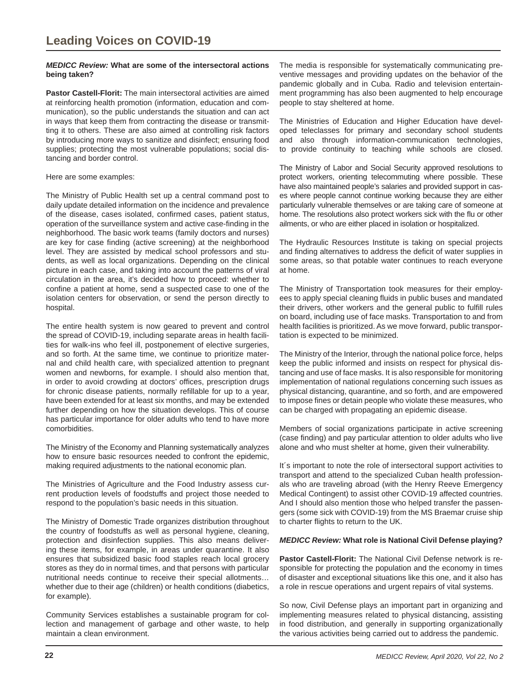#### *MEDICC Review:* **What are some of the intersectoral actions being taken?**

**Pastor Castell-Florit:** The main intersectoral activities are aimed at reinforcing health promotion (information, education and communication), so the public understands the situation and can act in ways that keep them from contracting the disease or transmitting it to others. These are also aimed at controlling risk factors by introducing more ways to sanitize and disinfect; ensuring food supplies; protecting the most vulnerable populations; social distancing and border control.

#### Here are some examples:

The Ministry of Public Health set up a central command post to daily update detailed information on the incidence and prevalence of the disease, cases isolated, confirmed cases, patient status, operation of the surveillance system and active case-finding in the neighborhood. The basic work teams (family doctors and nurses) are key for case finding (active screening) at the neighborhood level. They are assisted by medical school professors and students, as well as local organizations. Depending on the clinical picture in each case, and taking into account the patterns of viral circulation in the area, it's decided how to proceed: whether to confine a patient at home, send a suspected case to one of the isolation centers for observation, or send the person directly to hospital.

The entire health system is now geared to prevent and control the spread of COVID-19, including separate areas in health facilities for walk-ins who feel ill, postponement of elective surgeries, and so forth. At the same time, we continue to prioritize maternal and child health care, with specialized attention to pregnant women and newborns, for example. I should also mention that, in order to avoid crowding at doctors' offices, prescription drugs for chronic disease patients, normally refillable for up to a year, have been extended for at least six months, and may be extended further depending on how the situation develops. This of course has particular importance for older adults who tend to have more comorbidities.

The Ministry of the Economy and Planning systematically analyzes how to ensure basic resources needed to confront the epidemic, making required adjustments to the national economic plan.

The Ministries of Agriculture and the Food Industry assess current production levels of foodstuffs and project those needed to respond to the population's basic needs in this situation.

The Ministry of Domestic Trade organizes distribution throughout the country of foodstuffs as well as personal hygiene, cleaning, protection and disinfection supplies. This also means delivering these items, for example, in areas under quarantine. It also ensures that subsidized basic food staples reach local grocery stores as they do in normal times, and that persons with particular nutritional needs continue to receive their special allotments… whether due to their age (children) or health conditions (diabetics, for example).

Community Services establishes a sustainable program for collection and management of garbage and other waste, to help maintain a clean environment.

The media is responsible for systematically communicating preventive messages and providing updates on the behavior of the pandemic globally and in Cuba. Radio and television entertainment programming has also been augmented to help encourage people to stay sheltered at home.

The Ministries of Education and Higher Education have developed teleclasses for primary and secondary school students and also through information-communication technologies, to provide continuity to teaching while schools are closed.

The Ministry of Labor and Social Security approved resolutions to protect workers, orienting telecommuting where possible. These have also maintained people's salaries and provided support in cases where people cannot continue working because they are either particularly vulnerable themselves or are taking care of someone at home. The resolutions also protect workers sick with the flu or other ailments, or who are either placed in isolation or hospitalized.

The Hydraulic Resources Institute is taking on special projects and finding alternatives to address the deficit of water supplies in some areas, so that potable water continues to reach everyone at home.

The Ministry of Transportation took measures for their employees to apply special cleaning fluids in public buses and mandated their drivers, other workers and the general public to fulfill rules on board, including use of face masks. Transportation to and from health facilities is prioritized. As we move forward, public transportation is expected to be minimized.

The Ministry of the Interior, through the national police force, helps keep the public informed and insists on respect for physical distancing and use of face masks. It is also responsible for monitoring implementation of national regulations concerning such issues as physical distancing, quarantine, and so forth, and are empowered to impose fines or detain people who violate these measures, who can be charged with propagating an epidemic disease.

Members of social organizations participate in active screening (case finding) and pay particular attention to older adults who live alone and who must shelter at home, given their vulnerability.

It´s important to note the role of intersectoral support activities to transport and attend to the specialized Cuban health professionals who are traveling abroad (with the Henry Reeve Emergency Medical Contingent) to assist other COVID-19 affected countries. And I should also mention those who helped transfer the passengers (some sick with COVID-19) from the MS Braemar cruise ship to charter flights to return to the UK.

#### *MEDICC Review:* **What role is National Civil Defense playing?**

**Pastor Castell-Florit:** The National Civil Defense network is responsible for protecting the population and the economy in times of disaster and exceptional situations like this one, and it also has a role in rescue operations and urgent repairs of vital systems.

So now, Civil Defense plays an important part in organizing and implementing measures related to physical distancing, assisting in food distribution, and generally in supporting organizationally the various activities being carried out to address the pandemic.